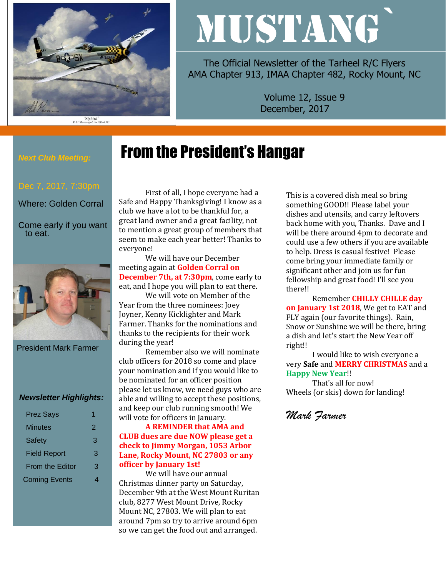

"Slybird"<br>P-51 Mustang of the 353rd FG

# MUSTANG`

The Official Newsletter of the Tarheel R/C Flyers AMA Chapter 913, IMAA Chapter 482, Rocky Mount, NC

> Volume 12, Issue 9 December, 2017

# From the President's Hangar

# *Next Club Meeting:*

Where: Golden Corral

Come early if you want to eat.



President Mark Farmer

#### *Newsletter Highlights:*

| <b>Prez Says</b>       |   |
|------------------------|---|
| Minutes                | 2 |
| Safety                 | 3 |
| <b>Field Report</b>    | 3 |
| <b>From the Editor</b> | З |
| <b>Coming Events</b>   |   |
|                        |   |

First of all, I hope everyone had a Safe and Happy Thanksgiving! I know as a club we have a lot to be thankful for, a great land owner and a great facility, not to mention a great group of members that seem to make each year better! Thanks to everyone!

We will have our December meeting again at **Golden Corral on December 7th, at 7:30pm**, come early to eat, and I hope you will plan to eat there.

We will vote on Member of the Year from the three nominees: Joey Joyner, Kenny Kicklighter and Mark Farmer. Thanks for the nominations and thanks to the recipients for their work during the year!

Remember also we will nominate club officers for 2018 so come and place your nomination and if you would like to be nominated for an officer position please let us know, we need guys who are able and willing to accept these positions, and keep our club running smooth! We will vote for officers in January.

#### **A REMINDER that AMA and CLUB dues are due NOW please get a check to Jimmy Morgan, 1053 Arbor Lane, Rocky Mount, NC 27803 or any officer by January 1st!**

We will have our annual Christmas dinner party on Saturday, December 9th at the West Mount Ruritan club, 8277 West Mount Drive, Rocky Mount NC, 27803. We will plan to eat around 7pm so try to arrive around 6pm so we can get the food out and arranged.

This is a covered dish meal so bring something GOOD!! Please label your dishes and utensils, and carry leftovers back home with you, Thanks. Dave and I will be there around 4pm to decorate and could use a few others if you are available to help. Dress is casual festive! Please come bring your immediate family or significant other and join us for fun fellowship and great food! I'll see you there!!

Remember **CHILLY CHILLE day on January 1st 2018**, We get to EAT and FLY again (our favorite things). Rain, Snow or Sunshine we will be there, bring a dish and let's start the New Year off right!!

I would like to wish everyone a very **Safe** and **MERRY CHRISTMAS** and a **Happy New Year**!!

That's all for now! Wheels (or skis) down for landing!

*Mark Farmer*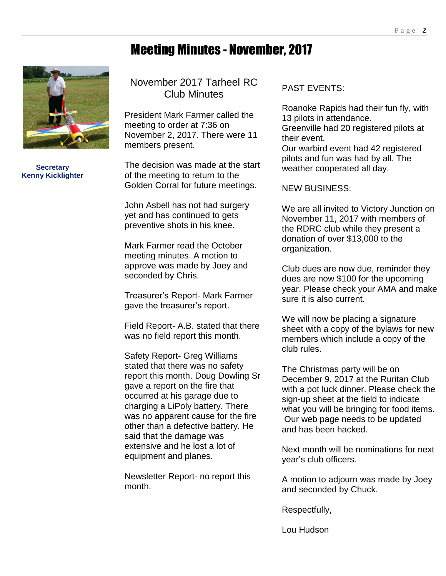#### Meeting Minutes - November, 2017



**Secretary Kenny Kicklighter**

November 2017 Tarheel RC Club Minutes

President Mark Farmer called the meeting to order at 7:36 on November 2, 2017. There were 11 members present.

The decision was made at the start of the meeting to return to the Golden Corral for future meetings.

John Asbell has not had surgery yet and has continued to gets preventive shots in his knee.

Mark Farmer read the October meeting minutes. A motion to approve was made by Joey and seconded by Chris.

Treasurer's Report- Mark Farmer gave the treasurer's report.

Field Report- A.B. stated that there was no field report this month.

Safety Report- Greg Williams stated that there was no safety report this month. Doug Dowling Sr gave a report on the fire that occurred at his garage due to charging a LiPoly battery. There was no apparent cause for the fire other than a defective battery. He said that the damage was extensive and he lost a lot of equipment and planes.

Newsletter Report- no report this month.

#### PAST EVENTS:

Roanoke Rapids had their fun fly, with 13 pilots in attendance. Greenville had 20 registered pilots at their event. Our warbird event had 42 registered

pilots and fun was had by all. The weather cooperated all day.

NEW BUSINESS:

We are all invited to Victory Junction on November 11, 2017 with members of the RDRC club while they present a donation of over \$13,000 to the organization.

Club dues are now due, reminder they dues are now \$100 for the upcoming year. Please check your AMA and make sure it is also current.

We will now be placing a signature sheet with a copy of the bylaws for new members which include a copy of the club rules.

The Christmas party will be on December 9, 2017 at the Ruritan Club with a pot luck dinner. Please check the sign-up sheet at the field to indicate what you will be bringing for food items. Our web page needs to be updated and has been hacked.

Next month will be nominations for next year's club officers.

A motion to adjourn was made by Joey and seconded by Chuck.

Respectfully,

Lou Hudson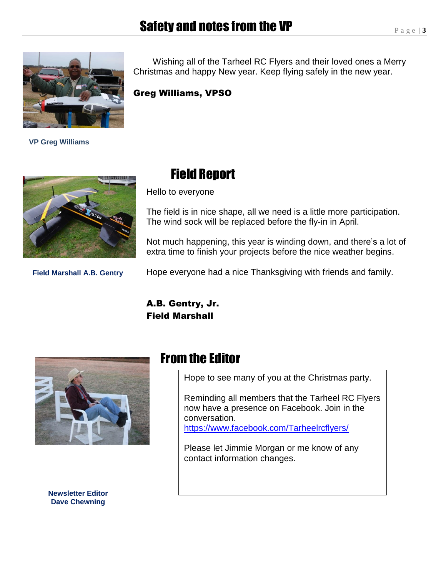## Safety and notes from the VP



 **VP Greg Williams**

 Wishing all of the Tarheel RC Flyers and their loved ones a Merry Christmas and happy New year. Keep flying safely in the new year.

Greg Williams, VPSO



**Field Marshall A.B. Gentry**

### Field Report

Hello to everyone

The field is in nice shape, all we need is a little more participation. The wind sock will be replaced before the fly-in in April.

Not much happening, this year is winding down, and there's a lot of extra time to finish your projects before the nice weather begins.

Hope everyone had a nice Thanksgiving with friends and family.

A.B. Gentry, Jr. Field Marshall



**Newsletter Editor Dave Chewning**

#### From the Editor

Hope to see many of you at the Christmas party.

Reminding all members that the Tarheel RC Flyers now have a presence on Facebook. Join in the conversation. <https://www.facebook.com/Tarheelrcflyers/>

Please let Jimmie Morgan or me know of any contact information changes.